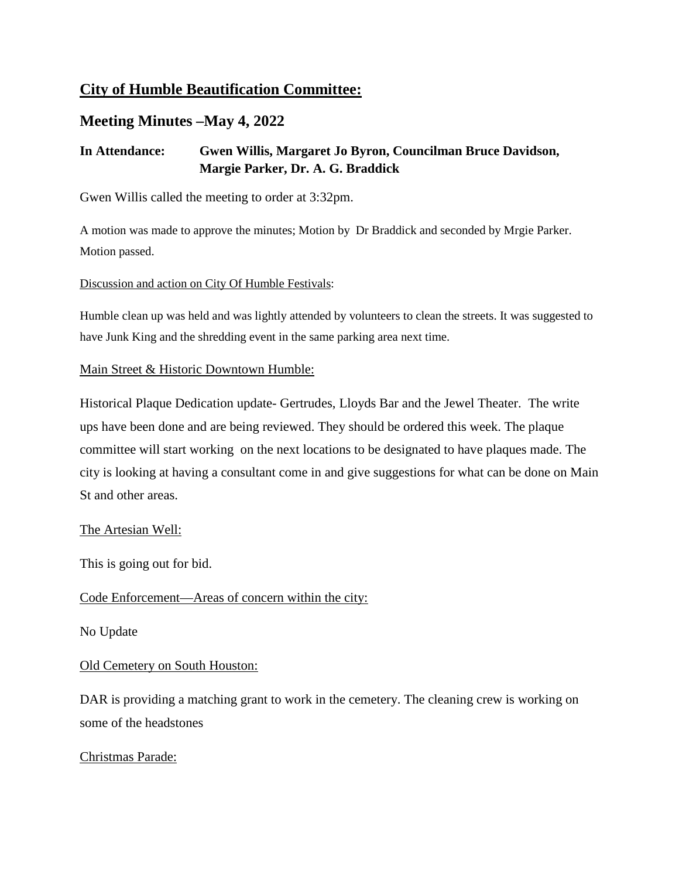## **City of Humble Beautification Committee:**

## **Meeting Minutes –May 4, 2022**

### **In Attendance: Gwen Willis, Margaret Jo Byron, Councilman Bruce Davidson, Margie Parker, Dr. A. G. Braddick**

Gwen Willis called the meeting to order at 3:32pm.

A motion was made to approve the minutes; Motion by Dr Braddick and seconded by Mrgie Parker. Motion passed.

#### Discussion and action on City Of Humble Festivals:

Humble clean up was held and was lightly attended by volunteers to clean the streets. It was suggested to have Junk King and the shredding event in the same parking area next time.

#### Main Street & Historic Downtown Humble:

Historical Plaque Dedication update- Gertrudes, Lloyds Bar and the Jewel Theater. The write ups have been done and are being reviewed. They should be ordered this week. The plaque committee will start working on the next locations to be designated to have plaques made. The city is looking at having a consultant come in and give suggestions for what can be done on Main St and other areas.

#### The Artesian Well:

This is going out for bid.

#### Code Enforcement—Areas of concern within the city:

No Update

#### Old Cemetery on South Houston:

DAR is providing a matching grant to work in the cemetery. The cleaning crew is working on some of the headstones

#### Christmas Parade: